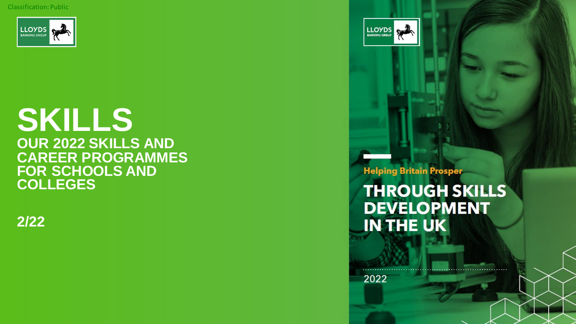Classification: Public



## **SKILLS OUR 2022 SKILLS AND CAREER PROGRAMMES FOR SCHOOLS AND COLLEGES**

**2/22**

**Helping Britain Prosper** 

**LLOYDS** 

**THROUGH SKILLS DEVELOPMENT IN THE UK** 

2022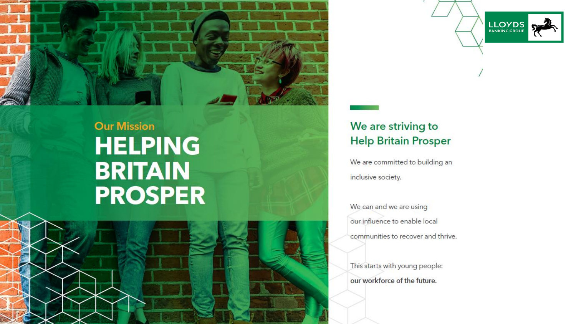

## **Our Mission HELPING BRITAIN PROSPER**

 $\sim$  References to  $\sim$  References to the relevant age studies with a relevant age studies with a relevant age studies with a relevant age studies with a relevant age studies with a relevant age systems. The relevant age

## We are striving to **Help Britain Prosper**

**LLOYDS** 

We are committed to building an inclusive society.

We can and we are using our influence to enable local communities to recover and thrive.

This starts with young people: our workforce of the future.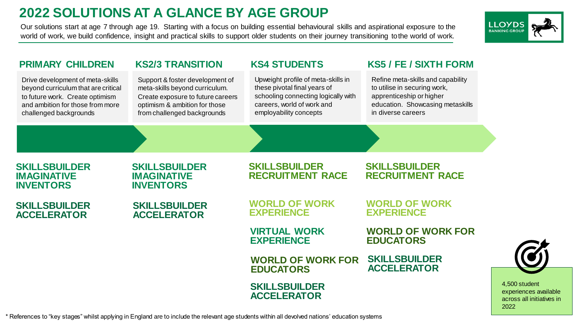## **2022 SOLUTIONS AT A GLANCE BY AGE GROUP**

Our solutions start at age 7 through age 19. Starting with a focus on building essential behavioural skills and aspirational exposure to the world of work, we build confidence, insight and practical skills to support older students on their journey transitioning to the world of work.



| <b>PRIMARY CHILDREN</b>                                                                                                                                                  | <b>KS2/3 TRANSITION</b>                                                                                                                                                | <b>KS4 STUDENTS</b>                                                                                                                                               | <b>KS5 / FE / SIXTH FORM</b>                                                                                                                            |
|--------------------------------------------------------------------------------------------------------------------------------------------------------------------------|------------------------------------------------------------------------------------------------------------------------------------------------------------------------|-------------------------------------------------------------------------------------------------------------------------------------------------------------------|---------------------------------------------------------------------------------------------------------------------------------------------------------|
| Drive development of meta-skills<br>beyond curriculum that are critical<br>to future work. Create optimism<br>and ambition for those from more<br>challenged backgrounds | Support & foster development of<br>meta-skills beyond curriculum.<br>Create exposure to future careers<br>optimism & ambition for those<br>from challenged backgrounds | Upweight profile of meta-skills in<br>these pivotal final years of<br>schooling connecting logically with<br>careers, world of work and<br>employability concepts | Refine meta-skills and capability<br>to utilise in securing work,<br>apprenticeship or higher<br>education. Showcasing metaskills<br>in diverse careers |
|                                                                                                                                                                          |                                                                                                                                                                        |                                                                                                                                                                   |                                                                                                                                                         |
| <b>SKILLSBUILDER</b><br><b>IMAGINATIVE</b><br><b>INVENTORS</b>                                                                                                           | <b>SKILLSBUILDER</b><br><b>IMAGINATIVE</b><br><b>INVENTORS</b>                                                                                                         | <b>SKILLSBUILDER</b><br><b>RECRUITMENT RACE</b>                                                                                                                   | <b>SKILLSBUILDER</b><br><b>RECRUITMENT RACE</b>                                                                                                         |
| <b>SKILLSBUILDER</b><br><b>ACCELERATOR</b>                                                                                                                               | <b>SKILLSBUILDER</b><br><b>ACCELERATOR</b>                                                                                                                             | <b>WORLD OF WORK</b><br><b>EXPERIENCE</b>                                                                                                                         | <b>WORLD OF WORK</b><br><b>EXPERIENCE</b>                                                                                                               |
|                                                                                                                                                                          |                                                                                                                                                                        | <b>VIRTUAL WORK</b><br><b>EXPERIENCE</b>                                                                                                                          | <b>WORLD OF WORK FOR</b><br><b>EDUCATORS</b>                                                                                                            |
|                                                                                                                                                                          |                                                                                                                                                                        | <b>WORLD OF WORK FOR</b><br><b>EDUCATORS</b>                                                                                                                      | <b>SKILLSBUILDER</b><br><b>ACCELERATOR</b>                                                                                                              |
|                                                                                                                                                                          |                                                                                                                                                                        | <b>SKILLSBUILDER</b><br><b>ACCELERATOR</b>                                                                                                                        |                                                                                                                                                         |

\* References to "key stages" whilst applying in England are to include the relevant age students within all devolved nations' education systems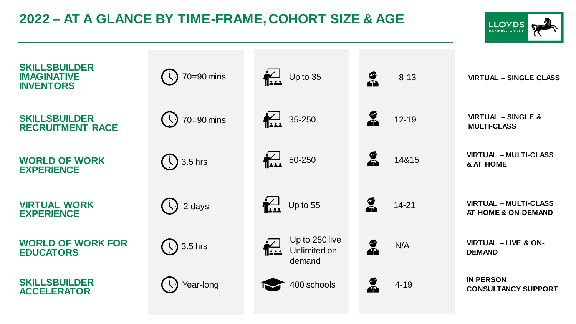## **2022 – AT A GLANCE BY TIME-FRAME, COHORT SIZE & AGE**



| <b>SKILLSBUILDER</b><br><b>IMAGINATIVE</b><br><b>INVENTORS</b> | 70=90 mins                                                                                         | $\frac{1}{\sqrt{2}}$ Up to 35                                 | e<br>A<br>$8 - 13$        | <b>VIRTUAL - SINGLE CLASS</b>                       |
|----------------------------------------------------------------|----------------------------------------------------------------------------------------------------|---------------------------------------------------------------|---------------------------|-----------------------------------------------------|
| <b>SKILLSBUILDER</b><br><b>RECRUITMENT RACE</b>                | 70=90 mins<br>$\left(\cdot \setminus \cdot\right)$                                                 | $\sum_{1.11}$ 35-250                                          | $\mathbf{z}$<br>$12 - 19$ | <b>VIRTUAL - SINGLE &amp;</b><br><b>MULTI-CLASS</b> |
| <b>WORLD OF WORK</b><br><b>EXPERIENCE</b>                      | $\left(\begin{array}{c} \overline{\mathbf{1}} \\ \mathbf{0} \end{array}\right)$ 3.5 hrs            | $\sum_{i=1}^{n}$ 50-250                                       | á<br>14&15                | <b>VIRTUAL - MULTI-CLASS</b><br>& AT HOME           |
| <b>VIRTUAL WORK</b><br><b>EXPERIENCE</b>                       | $\left(\begin{array}{c} \backslash \end{array}\right)$ 2 days                                      | $\frac{1}{\sqrt{2}}$ Up to 55                                 | Ø<br>A<br>$14 - 21$       | <b>VIRTUAL - MULTI-CLASS</b><br>AT HOME & ON-DEMAND |
| <b>WORLD OF WORK FOR</b><br><b>EDUCATORS</b>                   | $\left(\begin{array}{c} \overline{\mathbf{1}} \\ \overline{\mathbf{1}} \end{array}\right)$ 3.5 hrs | Up to 250 live<br>$\sum_{i=1}^{n}$<br>Unlimited on-<br>demand | á<br>N/A                  | <b>VIRTUAL - LIVE &amp; ON-</b><br><b>DEMAND</b>    |
| <b>SKILLSBUILDER</b><br><b>ACCELERATOR</b>                     | Year-long                                                                                          | 400 schools                                                   | â<br>$4 - 19$             | <b>IN PERSON</b><br><b>CONSULTANCY SUPPORT</b>      |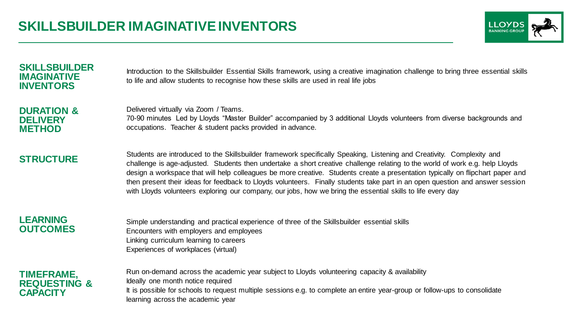

#### **SKILLSBUILDER IMAGINATIVE INVENTORS**

Introduction to the Skillsbuilder Essential Skills framework, using a creative imagination challenge to bring three essential skills to life and allow students to recognise how these skills are used in real life jobs

#### **DURATION & DELIVERY METHOD**

Delivered virtually via Zoom / Teams.

70-90 minutes Led by Lloyds "Master Builder" accompanied by 3 additional Lloyds volunteers from diverse backgrounds and occupations. Teacher & student packs provided in advance.

**STRUCTURE** Students are introduced to the Skillsbuilder framework specifically Speaking, Listening and Creativity. Complexity and challenge is age-adjusted. Students then undertake a short creative challenge relating to the world of work e.g. help Lloyds design a workspace that will help colleagues be more creative. Students create a presentation typically on flipchart paper and then present their ideas for feedback to Lloyds volunteers. Finally students take part in an open question and answer session with Lloyds volunteers exploring our company, our jobs, how we bring the essential skills to life every day

#### **LEARNING OUTCOMES**

Simple understanding and practical experience of three of the Skillsbuilder essential skills Encounters with employers and employees Linking curriculum learning to careers Experiences of workplaces (virtual)

#### **TIMEFRAME, REQUESTING & CAPACITY**

Run on-demand across the academic year subject to Lloyds volunteering capacity & availability Ideally one month notice required It is possible for schools to request multiple sessions e.g. to complete an entire year-group or follow-ups to consolidate learning across the academic year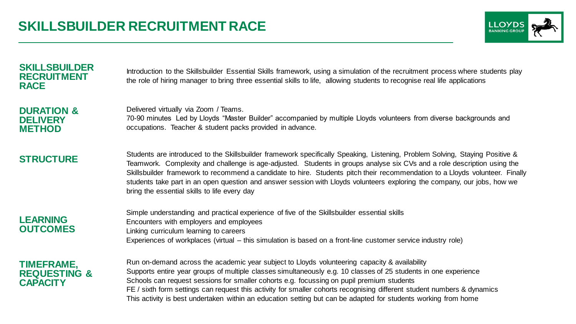

#### **SKILLSBUILDER RECRUITMENT RACE**

Introduction to the Skillsbuilder Essential Skills framework, using a simulation of the recruitment process where students play the role of hiring manager to bring three essential skills to life, allowing students to recognise real life applications

#### **DURATION & DELIVERY METHOD**

Delivered virtually via Zoom / Teams.

70-90 minutes Led by Lloyds "Master Builder" accompanied by multiple Lloyds volunteers from diverse backgrounds and occupations. Teacher & student packs provided in advance.

**STRUCTURE** Students are introduced to the Skillsbuilder framework specifically Speaking, Listening, Problem Solving, Staying Positive & Teamwork. Complexity and challenge is age-adjusted. Students in groups analyse six CVs and a role description using the Skillsbuilder framework to recommend a candidate to hire. Students pitch their recommendation to a Lloyds volunteer. Finally students take part in an open question and answer session with Lloyds volunteers exploring the company, our jobs, how we bring the essential skills to life every day

#### **LEARNING OUTCOMES**

Simple understanding and practical experience of five of the Skillsbuilder essential skills Encounters with employers and employees Linking curriculum learning to careers Experiences of workplaces (virtual – this simulation is based on a front-line customer service industry role)

#### **TIMEFRAME, REQUESTING & CAPACITY**

Run on-demand across the academic year subject to Lloyds volunteering capacity & availability Supports entire year groups of multiple classes simultaneously e.g. 10 classes of 25 students in one experience Schools can request sessions for smaller cohorts e.g. focussing on pupil premium students FE / sixth form settings can request this activity for smaller cohorts recognising different student numbers & dynamics This activity is best undertaken within an education setting but can be adapted for students working from home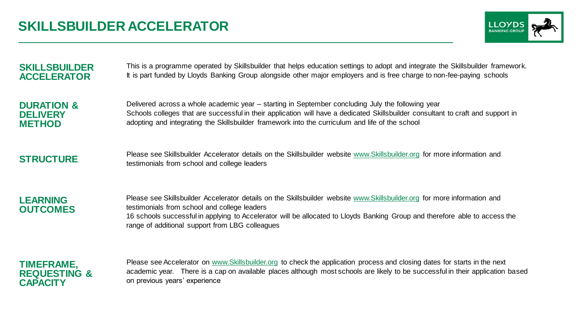

| <b>SKILLSBUILDER</b>  | This is a programme operated by Skillsbuilder that helps education settings to adopt and integrate the Skillsbuilder framework.                                          |
|-----------------------|--------------------------------------------------------------------------------------------------------------------------------------------------------------------------|
| <b>ACCELERATOR</b>    | It is part funded by Lloyds Banking Group alongside other major employers and is free charge to non-fee-paying schools                                                   |
| <b>DURATION &amp;</b> | Delivered across a whole academic year – starting in September concluding July the following year                                                                        |
| <b>DELIVERY</b>       | Schools colleges that are successful in their application will have a dedicated Skillsbuilder consultant to craft and support in                                         |
| <b>METHOD</b>         | adopting and integrating the Skillsbuilder framework into the curriculum and life of the school                                                                          |
| <b>STRUCTURE</b>      | Please see Skillsbuilder Accelerator details on the Skillsbuilder website www.Skillsbuilder.org for more information and<br>testimonials from school and college leaders |
|                       |                                                                                                                                                                          |

**LEARNING OUTCOMES**

Please see Skillsbuilder Accelerator details on the Skillsbuilder website [www.Skillsbuilder.org](http://www.skillsbuilder.org/) for more information and testimonials from school and college leaders 16 schools successful in applying to Accelerator will be allocated to Lloyds Banking Group and therefore able to access the range of additional support from LBG colleagues

#### **TIMEFRAME, REQUESTING & CAPACITY**

Please see Accelerator on [www.Skillsbuilder.org](http://www.skillsbuilder.org/) to check the application process and closing dates for starts in the next academic year. There is a cap on available places although most schools are likely to be successful in their application based on previous years' experience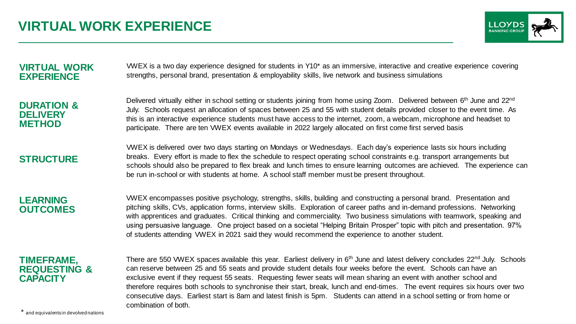

#### **VIRTUAL WORK EXPERIENCE**

VWEX is a two day experience designed for students in Y10\* as an immersive, interactive and creative experience covering strengths, personal brand, presentation & employability skills, live network and business simulations

#### **DURATION & DELIVERY METHOD**

Delivered virtually either in school setting or students joining from home using Zoom. Delivered between 6<sup>th</sup> June and 22<sup>nd</sup> July. Schools request an allocation of spaces between 25 and 55 with student details provided closer to the event time. As this is an interactive experience students must have access to the internet, zoom, a webcam, microphone and headset to participate. There are ten VWEX events available in 2022 largely allocated on first come first served basis

### **STRUCTURE**

VWEX is delivered over two days starting on Mondays or Wednesdays. Each day's experience lasts six hours including breaks. Every effort is made to flex the schedule to respect operating school constraints e.g. transport arrangements but schools should also be prepared to flex break and lunch times to ensure learning outcomes are achieved. The experience can be run in-school or with students at home. A school staff member must be present throughout.

#### **LEARNING OUTCOMES**

VWEX encompasses positive psychology, strengths, skills, building and constructing a personal brand. Presentation and pitching skills, CVs, application forms, interview skills. Exploration of career paths and in-demand professions. Networking with apprentices and graduates. Critical thinking and commerciality. Two business simulations with teamwork, speaking and using persuasive language. One project based on a societal "Helping Britain Prosper" topic with pitch and presentation. 97% of students attending VWEX in 2021 said they would recommend the experience to another student.

#### **TIMEFRAME, REQUESTING & CAPACITY**

There are 550 VWEX spaces available this year. Earliest delivery in  $6<sup>th</sup>$  June and latest delivery concludes  $22<sup>nd</sup>$  July. Schools can reserve between 25 and 55 seats and provide student details four weeks before the event. Schools can have an exclusive event if they request 55 seats. Requesting fewer seats will mean sharing an event with another school and therefore requires both schools to synchronise their start, break, lunch and end-times. The event requires six hours over two consecutive days. Earliest start is 8am and latest finish is 5pm. Students can attend in a school setting or from home or combination of both.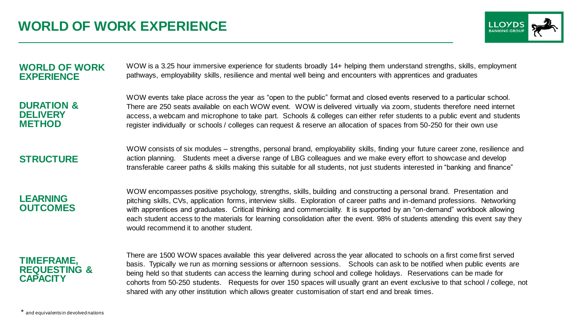

#### **WORLD OF WORK EXPERIENCE**

WOW is a 3.25 hour immersive experience for students broadly 14+ helping them understand strengths, skills, employment pathways, employability skills, resilience and mental well being and encounters with apprentices and graduates

**DURATION & DELIVERY METHOD**

WOW events take place across the year as "open to the public" format and closed events reserved to a particular school. There are 250 seats available on each WOW event. WOW is delivered virtually via zoom, students therefore need internet access, a webcam and microphone to take part. Schools & colleges can either refer students to a public event and students register individually or schools / colleges can request & reserve an allocation of spaces from 50-250 for their own use

**STRUCTURE** WOW consists of six modules – strengths, personal brand, employability skills, finding your future career zone, resilience and action planning. Students meet a diverse range of LBG colleagues and we make every effort to showcase and develop transferable career paths & skills making this suitable for all students, not just students interested in "banking and finance"

**LEARNING OUTCOMES** WOW encompasses positive psychology, strengths, skills, building and constructing a personal brand. Presentation and pitching skills, CVs, application forms, interview skills. Exploration of career paths and in-demand professions. Networking with apprentices and graduates. Critical thinking and commerciality. It is supported by an "on-demand" workbook allowing each student access to the materials for learning consolidation after the event. 98% of students attending this event say they would recommend it to another student.

#### **TIMEFRAME, REQUESTING & CAPACITY**

There are 1500 WOW spaces available this year delivered across the year allocated to schools on a first come first served basis. Typically we run as morning sessions or afternoon sessions. Schools can ask to be notified when public events are being held so that students can access the learning during school and college holidays. Reservations can be made for cohorts from 50-250 students. Requests for over 150 spaces will usually grant an event exclusive to that school / college, not shared with any other institution which allows greater customisation of start end and break times.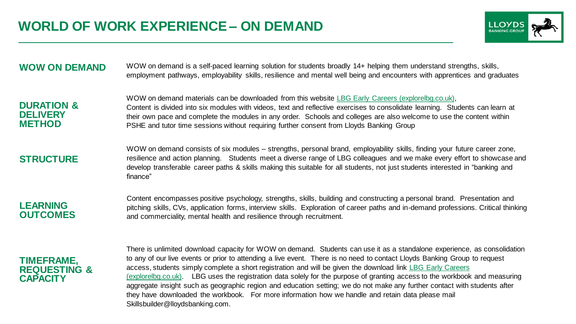

#### **WOW ON DEMAND** WOW on demand is a self-paced learning solution for students broadly 14+ helping them understand strengths, skills, employment pathways, employability skills, resilience and mental well being and encounters with apprentices and graduates

**DURATION & DELIVERY METHOD**

WOW on demand materials can be downloaded from this website [LBG Early Careers \(explorelbg.co.uk\),](https://explorelbg.co.uk/workexp) Content is divided into six modules with videos, text and reflective exercises to consolidate learning. Students can learn at their own pace and complete the modules in any order. Schools and colleges are also welcome to use the content within PSHE and tutor time sessions without requiring further consent from Lloyds Banking Group

#### **STRUCTURE** WOW on demand consists of six modules – strengths, personal brand, employability skills, finding your future career zone, resilience and action planning. Students meet a diverse range of LBG colleagues and we make every effort to showcase and develop transferable career paths & skills making this suitable for all students, not just students interested in "banking and finance"

**LEARNING OUTCOMES** Content encompasses positive psychology, strengths, skills, building and constructing a personal brand. Presentation and pitching skills, CVs, application forms, interview skills. Exploration of career paths and in-demand professions. Critical thinking and commerciality, mental health and resilience through recruitment.

#### **TIMEFRAME, REQUESTING & CAPACITY**

There is unlimited download capacity for WOW on demand. Students can use it as a standalone experience, as consolidation to any of our live events or prior to attending a live event. There is no need to contact Lloyds Banking Group to request access, students simply complete a short registration and will be given the download link LBG Early Careers [\(explorelbg.co.uk\). LBG uses the registration data solely for the purpose of granting access to the workbook](https://explorelbg.co.uk/workexp) and measuring aggregate insight such as geographic region and education setting; we do not make any further contact with students after they have downloaded the workbook. For more information how we handle and retain data please mail Skillsbuilder@lloydsbanking.com.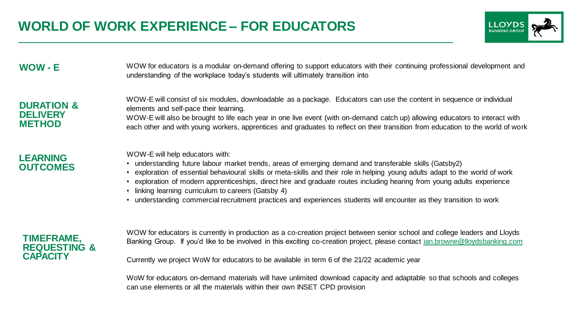

#### WOW - **E** WOW for educators is a modular on-demand offering to support educators with their continuing professional development and understanding of the workplace today's students will ultimately transition into

#### **DURATION & DELIVERY METHOD**

WOW-E will consist of six modules, downloadable as a package. Educators can use the content in sequence or individual elements and self-pace their learning. WOW-E will also be brought to life each year in one live event (with on-demand catch up) allowing educators to interact with

each other and with young workers, apprentices and graduates to reflect on their transition from education to the world of work

#### **LEARNING OUTCOMES**

WOW-E will help educators with:

- understanding future labour market trends, areas of emerging demand and transferable skills (Gatsby2)
- exploration of essential behavioural skills or meta-skills and their role in helping young adults adapt to the world of work
- exploration of modern apprenticeships, direct hire and graduate routes including hearing from young adults experience
- linking learning curriculum to careers (Gatsby 4)
- understanding commercial recruitment practices and experiences students will encounter as they transition to work

#### **TIMEFRAME, REQUESTING & CAPACITY**

WOW for educators is currently in production as a co-creation project between senior school and college leaders and Lloyds Banking Group. If you'd like to be involved in this exciting co-creation project, please contact [ian.browne@lloydsbanking.com](mailto:ian.browne@lloydsbanking.com)

Currently we project WoW for educators to be available in term 6 of the 21/22 academic year

WoW for educators on-demand materials will have unlimited download capacity and adaptable so that schools and colleges can use elements or all the materials within their own INSET CPD provision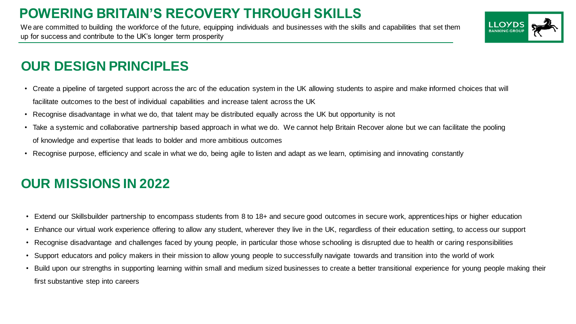## **POWERING BRITAIN'S RECOVERY THROUGH SKILLS**

We are committed to building the workforce of the future, equipping individuals and businesses with the skills and capabilities that set them up for success and contribute to the UK's longer term prosperity



## **OUR DESIGN PRINCIPLES**

- Create a pipeline of targeted support across the arc of the education system in the UK allowing students to aspire and make informed choices that will facilitate outcomes to the best of individual capabilities and increase talent across the UK
- Recognise disadvantage in what we do, that talent may be distributed equally across the UK but opportunity is not
- Take a systemic and collaborative partnership based approach in what we do. We cannot help Britain Recover alone but we can facilitate the pooling of knowledge and expertise that leads to bolder and more ambitious outcomes
- Recognise purpose, efficiency and scale in what we do, being agile to listen and adapt as we learn, optimising and innovating constantly

## **OUR MISSIONS IN 2022**

- Extend our Skillsbuilder partnership to encompass students from 8 to 18+ and secure good outcomes in secure work, apprenticeships or higher education
- Enhance our virtual work experience offering to allow any student, wherever they live in the UK, regardless of their education setting, to access our support
- Recognise disadvantage and challenges faced by young people, in particular those whose schooling is disrupted due to health or caring responsibilities
- Support educators and policy makers in their mission to allow young people to successfully navigate towards and transition into the world of work
- Build upon our strengths in supporting learning within small and medium sized businesses to create a better transitional experience for young people making their first substantive step into careers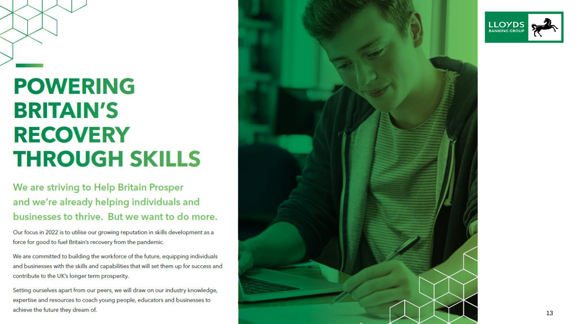# **POWERING BRITAIN'S RECOVERY THROUGH SKILLS**

Classification: Public

## We are striving to Help Britain Prosper and we're already helping individuals and businesses to thrive. But we want to do more.

Our focus in 2022 is to utilise our growing reputation in skills development as a force for good to fuel Britain's recovery from the pandemic.

We are committed to building the workforce of the future, equipping individuals and businesses with the skills and capabilities that will set them up for success and contribute to the UK's longer term prosperity.

Setting ourselves apart from our peers, we will draw on our industry knowledge, expertise and resources to coach young people, educators and businesses to achieve the future they dream of.